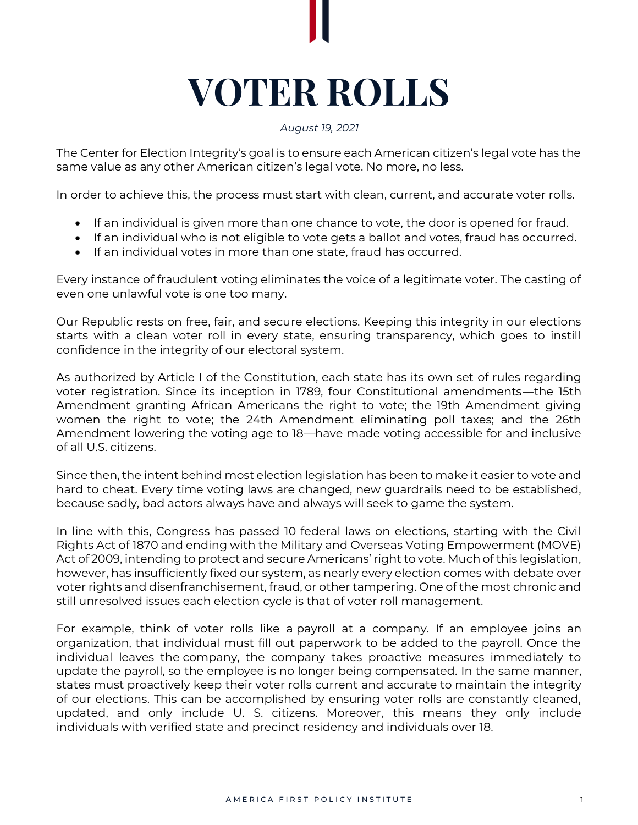# **VOTER ROLLS**

#### *August 19, 2021*

The Center for Election Integrity's goal is to ensure each American citizen's legal vote has the same value as any other American citizen's legal vote. No more, no less.

In order to achieve this, the process must start with clean, current, and accurate voter rolls.

- If an individual is given more than one chance to vote, the door is opened for fraud.
- If an individual who is not eligible to vote gets a ballot and votes, fraud has occurred.
- If an individual votes in more than one state, fraud has occurred.

Every instance of fraudulent voting eliminates the voice of a legitimate voter. The casting of even one unlawful vote is one too many.

Our Republic rests on free, fair, and secure elections. Keeping this integrity in our elections starts with a clean voter roll in every state, ensuring transparency, which goes to instill confidence in the integrity of our electoral system.

As authorized by Article I of the Constitution, each state has its own set of rules regarding voter registration. Since its inception in 1789, four Constitutional amendments—the 15th Amendment granting African Americans the right to vote; the 19th Amendment giving women the right to vote; the 24th Amendment eliminating poll taxes; and the 26th Amendment lowering the voting age to 18—have made voting accessible for and inclusive of all U.S. citizens.

Since then, the intent behind most election legislation has been to make it easier to vote and hard to cheat. Every time voting laws are changed, new guardrails need to be established, because sadly, bad actors always have and always will seek to game the system.

In line with this, Congress has passed 10 federal laws on elections, starting with the Civil Rights Act of 1870 and ending with the Military and Overseas Voting Empowerment (MOVE) Act of 2009, intending to protect and secure Americans' right to vote. Much of this legislation, however, has insufficiently fixed our system, as nearly every election comes with debate over voter rights and disenfranchisement, fraud, or other tampering. One of the most chronic and still unresolved issues each election cycle is that of voter roll management.

For example, think of voter rolls like a payroll at a company. If an employee joins an organization, that individual must fill out paperwork to be added to the payroll. Once the individual leaves the company, the company takes proactive measures immediately to update the payroll, so the employee is no longer being compensated. In the same manner, states must proactively keep their voter rolls current and accurate to maintain the integrity of our elections. This can be accomplished by ensuring voter rolls are constantly cleaned, updated, and only include U. S. citizens. Moreover, this means they only include individuals with verified state and precinct residency and individuals over 18.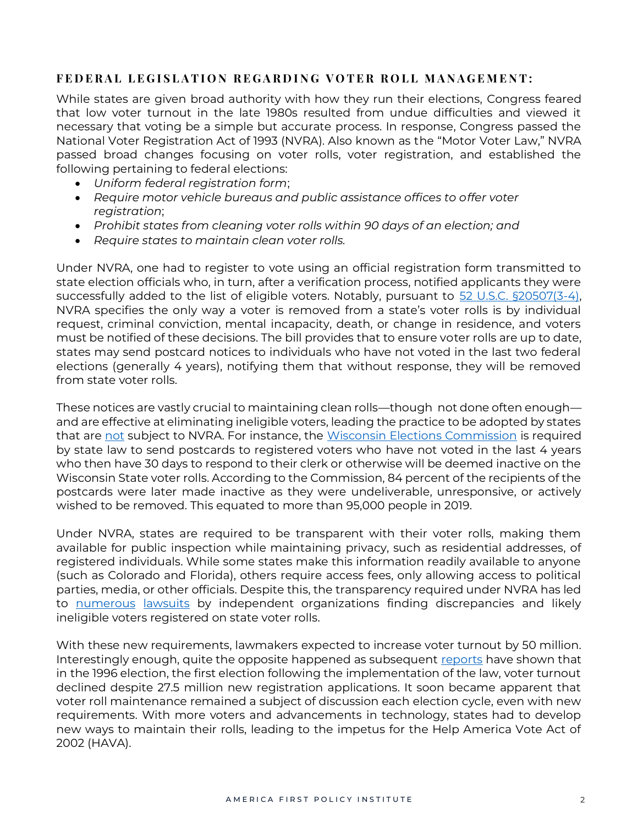### FEDERAL LEGISLATION REGARDING VOTER ROLL MANAGEMENT:

While states are given broad authority with how they run their elections, Congress feared that low voter turnout in the late 1980s resulted from undue difficulties and viewed it necessary that voting be a simple but accurate process. In response, Congress passed the National Voter Registration Act of 1993 (NVRA). Also known as the "Motor Voter Law," NVRA passed broad changes focusing on voter rolls, voter registration, and established the following pertaining to federal elections:

- *Uniform federal registration form*;
- *Require motor vehicle bureaus and public assistance offices to offer voter registration*;
- *Prohibit states from cleaning voter rolls within 90 days of an election; and*
- *Require states to maintain clean voter rolls.*

Under NVRA, one had to register to vote using an official registration form transmitted to state election officials who, in turn, after a verification process, notified applicants they were successfully added to the list of eligible voters. Notably, pursuant to [52 U.S.C. §20507\(3](https://uscode.house.gov/view.xhtml?req=(title:52%20section:20507%20edition:prelim)%20OR%20(granuleid:USC-prelim-title52-section20507)&f=treesort&edition=prelim&num=0&jumpTo=true)-4), NVRA specifies the only way a voter is removed from a state's voter rolls is by individual request, criminal conviction, mental incapacity, death, or change in residence, and voters must be notified of these decisions. The bill provides that to ensure voter rolls are up to date, states may send postcard notices to individuals who have not voted in the last two federal elections (generally 4 years), notifying them that without response, they will be removed from state voter rolls.

These notices are vastly crucial to maintaining clean rolls—though not done often enough and are effective at eliminating ineligible voters, leading the practice to be adopted by states that are [not](https://www.washingtonpost.com/news/monkey-cage/wp/2015/07/04/states-are-ignoring-federal-law-about-voter-registration-heres-why/) subject to NVRA. For instance, the [Wisconsin Elections Commission](https://elections.wi.gov/node/7451) is required by state law to send postcards to registered voters who have not voted in the last 4 years who then have 30 days to respond to their clerk or otherwise will be deemed inactive on the Wisconsin State voter rolls. According to the Commission, 84 percent of the recipients of the postcards were later made inactive as they were undeliverable, unresponsive, or actively wished to be removed. This equated to more than 95,000 people in 2019.

Under NVRA, states are required to be transparent with their voter rolls, making them available for public inspection while maintaining privacy, such as residential addresses, of registered individuals. While some states make this information readily available to anyone (such as Colorado and Florida), others require access fees, only allowing access to political parties, media, or other officials. Despite this, the transparency required under NVRA has led to [numerous](https://www.breitbart.com/politics/2020/04/29/jjudicial-watch-sues-pennsylvania-for-800k-inactive-voters-on-voter-rolls/) [lawsuits](https://patrioticpost.com/election-watchdog-group-suing-illinois-over-refusal-to-access-full-voting-rolls/) by independent organizations finding discrepancies and likely ineligible voters registered on state voter rolls.

With these new requirements, lawmakers expected to increase voter turnout by 50 million. Interestingly enough, quite the opposite happened as subsequent [reports](https://www.fec.gov/about/reports-about-fec/agency-operations/impact-national-voter-registration-act-1993-administration-federal-elections-html/) have shown that in the 1996 election, the first election following the implementation of the law, voter turnout declined despite 27.5 million new registration applications. It soon became apparent that voter roll maintenance remained a subject of discussion each election cycle, even with new requirements. With more voters and advancements in technology, states had to develop new ways to maintain their rolls, leading to the impetus for the Help America Vote Act of 2002 (HAVA).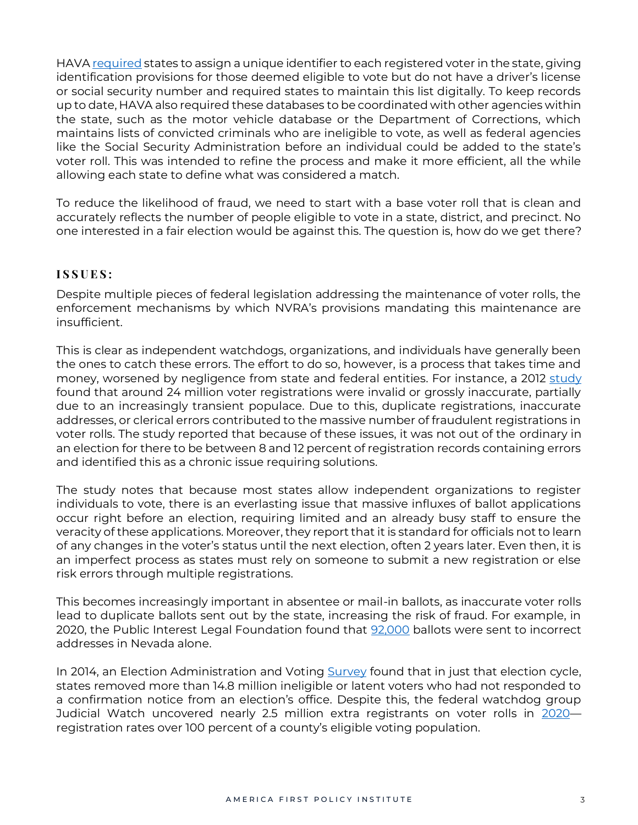HAV[A required](https://uscode.house.gov/view.xhtml?req=(title:52%20section:21083%20edition:prelim)%20OR%20(granuleid:USC-prelim-title52-section21083)&f=treesort&edition=prelim&num=0&jumpTo=true) states to assign a unique identifier to each registered voter in the state, giving identification provisions for those deemed eligible to vote but do not have a driver's license or social security number and required states to maintain this list digitally. To keep records up to date, HAVA also required these databases to be coordinated with other agencies within the state, such as the motor vehicle database or the Department of Corrections, which maintains lists of convicted criminals who are ineligible to vote, as well as federal agencies like the Social Security Administration before an individual could be added to the state's voter roll. This was intended to refine the process and make it more efficient, all the while allowing each state to define what was considered a match.

To reduce the likelihood of fraud, we need to start with a base voter roll that is clean and accurately reflects the number of people eligible to vote in a state, district, and precinct. No one interested in a fair election would be against this. The question is, how do we get there?

#### **I S S U E S :**

Despite multiple pieces of federal legislation addressing the maintenance of voter rolls, the enforcement mechanisms by which NVRA's provisions mandating this maintenance are insufficient.

This is clear as independent watchdogs, organizations, and individuals have generally been the ones to catch these errors. The effort to do so, however, is a process that takes time and money, worsened by negligence from state and federal entities. For instance, a 2012 [study](https://www.pewtrusts.org/~/media/legacy/uploadedfiles/pcs_assets/2012/pewupgradingvoterregistrationpdf.pdf) found that around 24 million voter registrations were invalid or grossly inaccurate, partially due to an increasingly transient populace. Due to this, duplicate registrations, inaccurate addresses, or clerical errors contributed to the massive number of fraudulent registrations in voter rolls. The study reported that because of these issues, it was not out of the ordinary in an election for there to be between 8 and 12 percent of registration records containing errors and identified this as a chronic issue requiring solutions.

The study notes that because most states allow independent organizations to register individuals to vote, there is an everlasting issue that massive influxes of ballot applications occur right before an election, requiring limited and an already busy staff to ensure the veracity of these applications. Moreover, they report that it is standard for officials not to learn of any changes in the voter's status until the next election, often 2 years later. Even then, it is an imperfect process as states must rely on someone to submit a new registration or else risk errors through multiple registrations.

This becomes increasingly important in absentee or mail-in ballots, as inaccurate voter rolls lead to duplicate ballots sent out by the state, increasing the risk of fraud. For example, in 2020, the Public Interest Legal Foundation found that [92,000](https://publicinterestlegal.org/blog/report-92k-clark-county-nv-mail-ballots-went-to-wrong-addresses-in-2020-presidential-election/) ballots were sent to incorrect addresses in Nevada alone.

In 2014, an Election Administration and Voting [Survey](https://www.eac.gov/news/2017/03/10/fact-sheet-voter-registration-list-maintenance) found that in just that election cycle, states removed more than 14.8 million ineligible or latent voters who had not responded to a confirmation notice from an election's office. Despite this, the federal watchdog group Judicial Watch uncovered nearly 2.5 million extra registrants on voter rolls in [2020](https://www.judicialwatch.org/tom-fittons-weekly-update/judicial-watch-uncovers-millions-on-dirty-voter-rolls/) registration rates over 100 percent of a county's eligible voting population.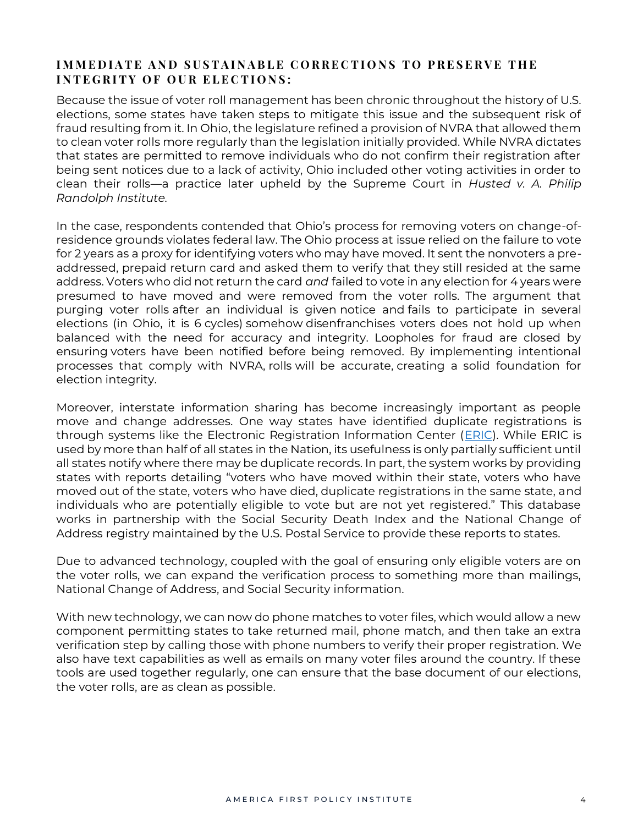## **IMMEDIATE AND SUSTAINABLE CORRECTIONS TO PRESERVE THE INTEGRITY OF OUR ELECTIONS:**

Because the issue of voter roll management has been chronic throughout the history of U.S. elections, some states have taken steps to mitigate this issue and the subsequent risk of fraud resulting from it. In Ohio, the legislature refined a provision of NVRA that allowed them to clean voter rolls more regularly than the legislation initially provided. While NVRA dictates that states are permitted to remove individuals who do not confirm their registration after being sent notices due to a lack of activity, Ohio included other voting activities in order to clean their rolls—a practice later upheld by the Supreme Court in *Husted v. A. Philip Randolph Institute.* 

In the case, respondents contended that Ohio's process for removing voters on change-ofresidence grounds violates federal law. The Ohio process at issue relied on the failure to vote for 2 years as a proxy for identifying voters who may have moved. It sent the nonvoters a preaddressed, prepaid return card and asked them to verify that they still resided at the same address. Voters who did not return the card *and* failed to vote in any election for 4 years were presumed to have moved and were removed from the voter rolls. The argument that purging voter rolls after an individual is given notice and fails to participate in several elections (in Ohio, it is 6 cycles) somehow disenfranchises voters does not hold up when balanced with the need for accuracy and integrity. Loopholes for fraud are closed by ensuring voters have been notified before being removed. By implementing intentional processes that comply with NVRA, rolls will be accurate, creating a solid foundation for election integrity.

Moreover, interstate information sharing has become increasingly important as people move and change addresses. One way states have identified duplicate registrations is through systems like the Electronic Registration Information Center [\(ERIC\)](https://ericstates.org/). While ERIC is used by more than half of all states in the Nation, its usefulness is only partially sufficient until all states notify where there may be duplicate records. In part, the system works by providing states with reports detailing "voters who have moved within their state, voters who have moved out of the state, voters who have died, duplicate registrations in the same state, and individuals who are potentially eligible to vote but are not yet registered." This database works in partnership with the Social Security Death Index and the National Change of Address registry maintained by the U.S. Postal Service to provide these reports to states.

Due to advanced technology, coupled with the goal of ensuring only eligible voters are on the voter rolls, we can expand the verification process to something more than mailings, National Change of Address, and Social Security information.

With new technology, we can now do phone matches to voter files, which would allow a new component permitting states to take returned mail, phone match, and then take an extra verification step by calling those with phone numbers to verify their proper registration. We also have text capabilities as well as emails on many voter files around the country. If these tools are used together regularly, one can ensure that the base document of our elections, the voter rolls, are as clean as possible.